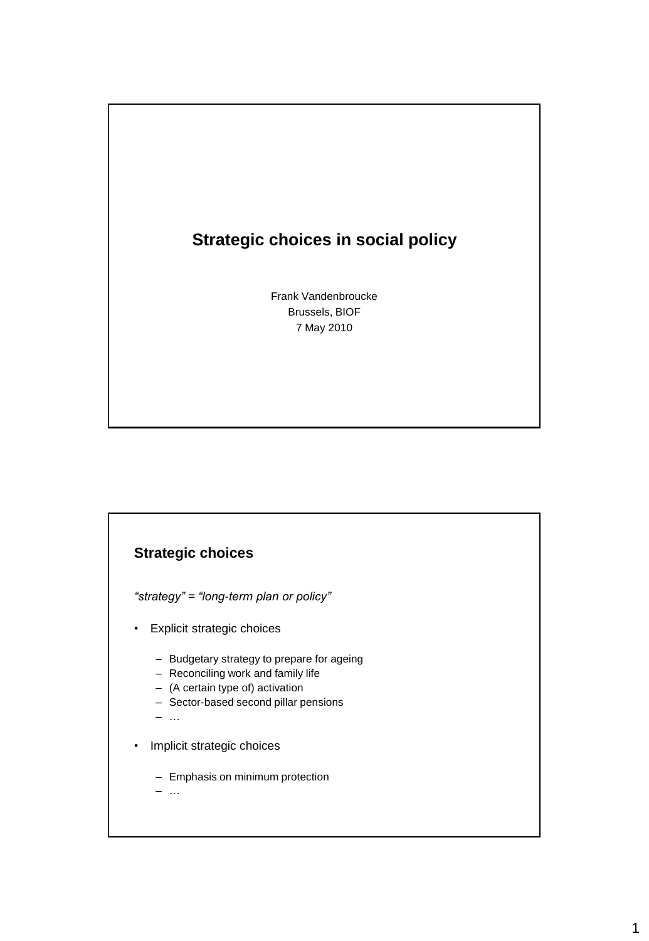## **Strategic choices in social policy**

Frank Vandenbroucke Brussels, BIOF 7 May 2010

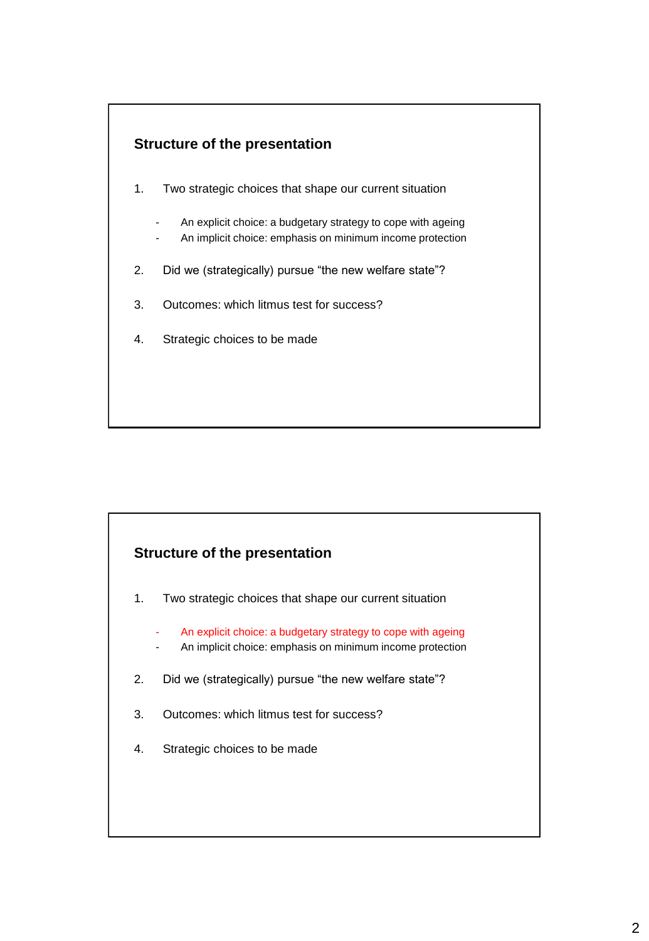

- 1. Two strategic choices that shape our current situation
	- An explicit choice: a budgetary strategy to cope with ageing
	- An implicit choice: emphasis on minimum income protection
- 2. Did we (strategically) pursue "the new welfare state"?
- 3. Outcomes: which litmus test for success?
- 4. Strategic choices to be made

#### **Structure of the presentation**

- 1. Two strategic choices that shape our current situation
	- An explicit choice: a budgetary strategy to cope with ageing
	- An implicit choice: emphasis on minimum income protection
- 2. Did we (strategically) pursue "the new welfare state"?
- 3. Outcomes: which litmus test for success?
- 4. Strategic choices to be made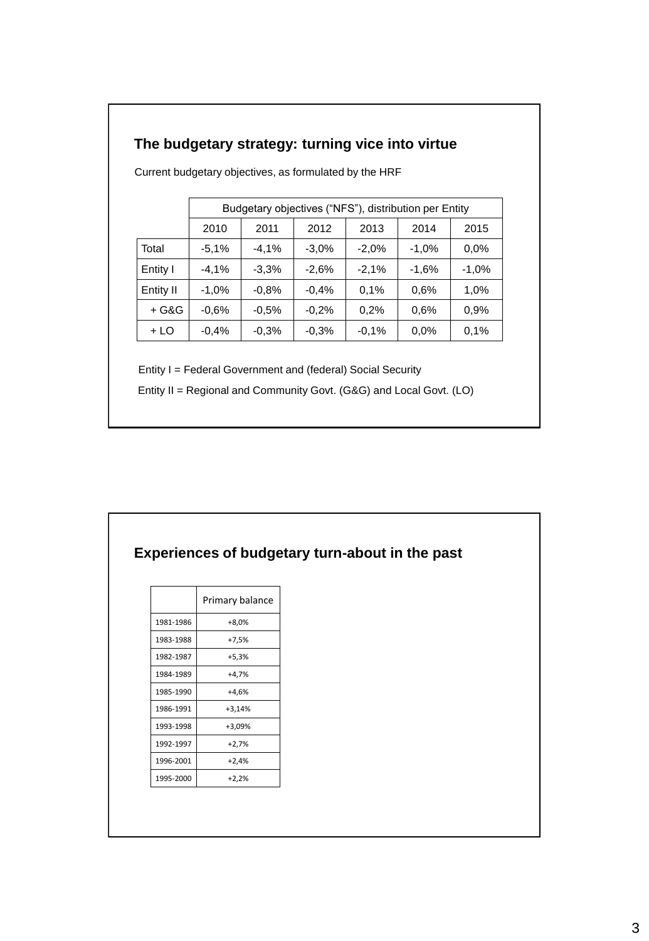# **The budgetary strategy: turning vice into virtue**

|           |         | Budgetary objectives ("NFS"), distribution per Entity |         |         |         |         |
|-----------|---------|-------------------------------------------------------|---------|---------|---------|---------|
|           | 2010    | 2011                                                  | 2012    | 2013    | 2014    | 2015    |
| Total     | $-5,1%$ | $-4.1%$                                               | $-3.0%$ | $-2.0%$ | $-1,0%$ | $0.0\%$ |
| Entity I  | $-4,1%$ | $-3,3%$                                               | $-2,6%$ | $-2,1%$ | $-1,6%$ | $-1,0%$ |
| Entity II | $-1,0%$ | $-0.8%$                                               | $-0.4%$ | 0.1%    | 0.6%    | 1,0%    |
| + G&G     | $-0.6%$ | $-0.5%$                                               | $-0.2%$ | 0.2%    | 0.6%    | 0,9%    |
| + LO      | $-0.4%$ | $-0.3%$                                               | $-0.3%$ | $-0.1%$ | $0.0\%$ | 0.1%    |

Current budgetary objectives, as formulated by the HRF

Entity I = Federal Government and (federal) Social Security

Entity II = Regional and Community Govt. (G&G) and Local Govt. (LO)

|           | Experiences of budgetary turn-about in the past |
|-----------|-------------------------------------------------|
|           | Primary balance                                 |
| 1981-1986 | $+8,0%$                                         |
| 1983-1988 | $+7,5%$                                         |
| 1982-1987 | $+5,3%$                                         |
| 1984-1989 | $+4,7%$                                         |
| 1985-1990 | $+4,6%$                                         |
| 1986-1991 | $+3,14%$                                        |
| 1993-1998 | $+3,09%$                                        |
| 1992-1997 | $+2,7%$                                         |
| 1996-2001 | $+2,4%$                                         |
| 1995-2000 | $+2,2%$                                         |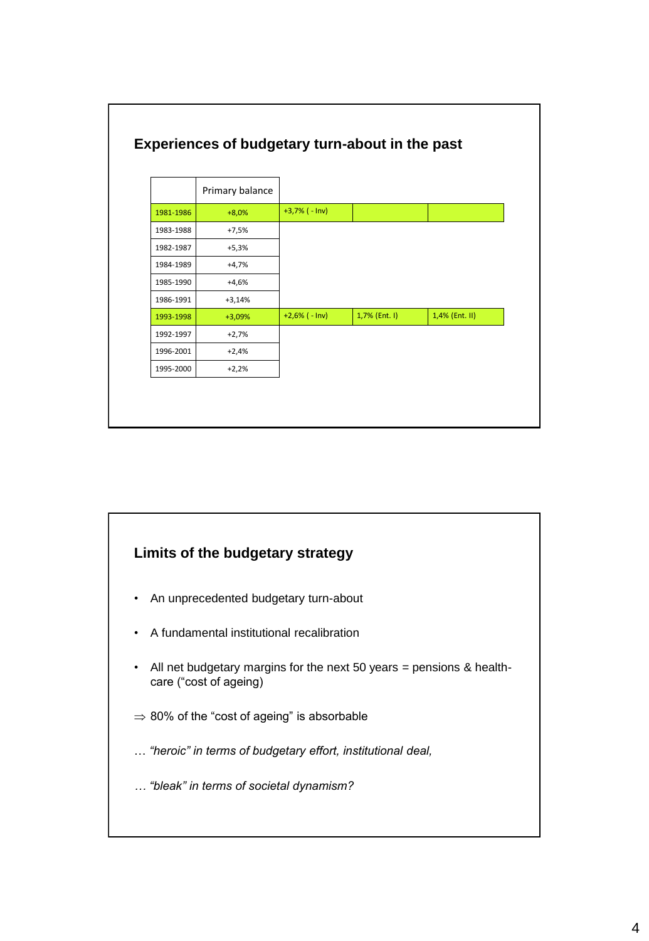

# **Limits of the budgetary strategy** • An unprecedented budgetary turn-about • A fundamental institutional recalibration • All net budgetary margins for the next 50 years = pensions & healthcare ("cost of ageing)  $\Rightarrow$  80% of the "cost of ageing" is absorbable … *"heroic" in terms of budgetary effort, institutional deal, … "bleak" in terms of societal dynamism?*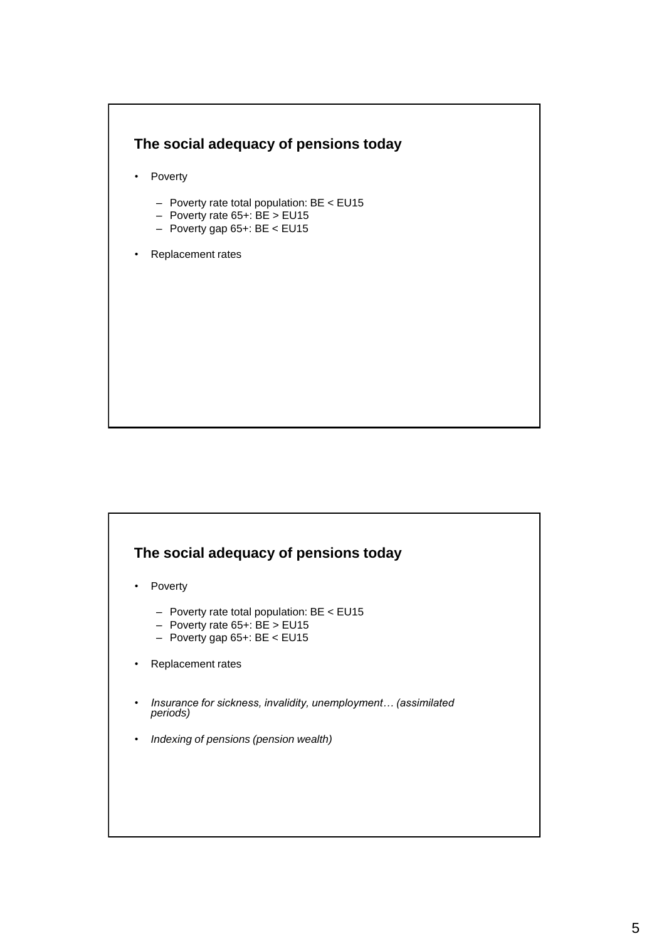

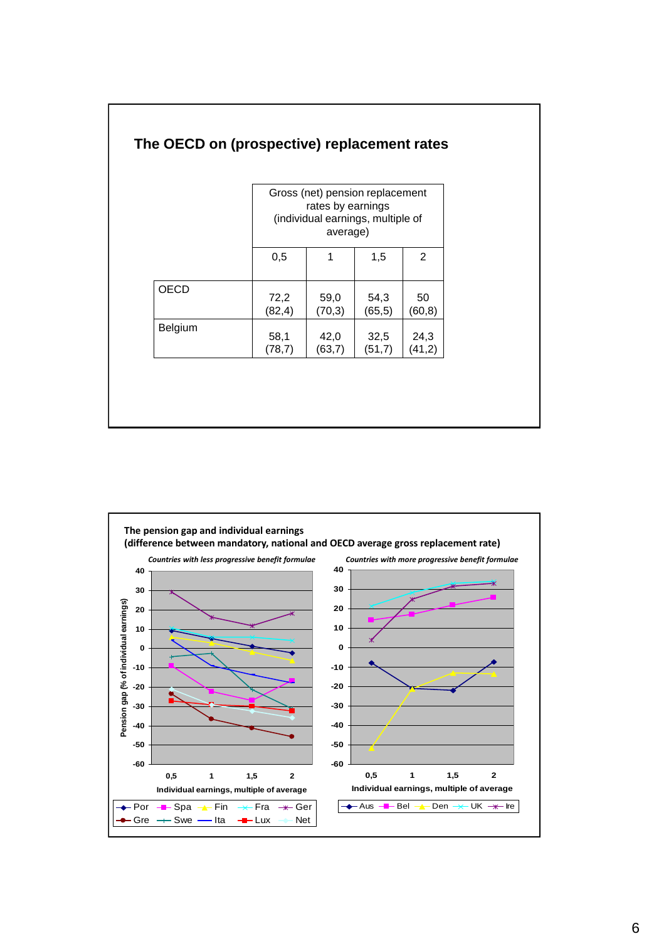|             |         | Gross (net) pension replacement<br>rates by earnings<br>(individual earnings, multiple of<br>average) |         |         |
|-------------|---------|-------------------------------------------------------------------------------------------------------|---------|---------|
|             | 0,5     |                                                                                                       | 1,5     | 2       |
| <b>OECD</b> | 72,2    | 59,0                                                                                                  | 54,3    | 50      |
|             | (82, 4) | (70,3)                                                                                                | (65, 5) | (60, 8) |
| Belgium     | 58,1    | 42,0                                                                                                  | 32,5    | 24,3    |
|             | (78,7)  | (63,7)                                                                                                | (51,7)  | (41,2)  |



## **The OECD on (prospective) replacement rates**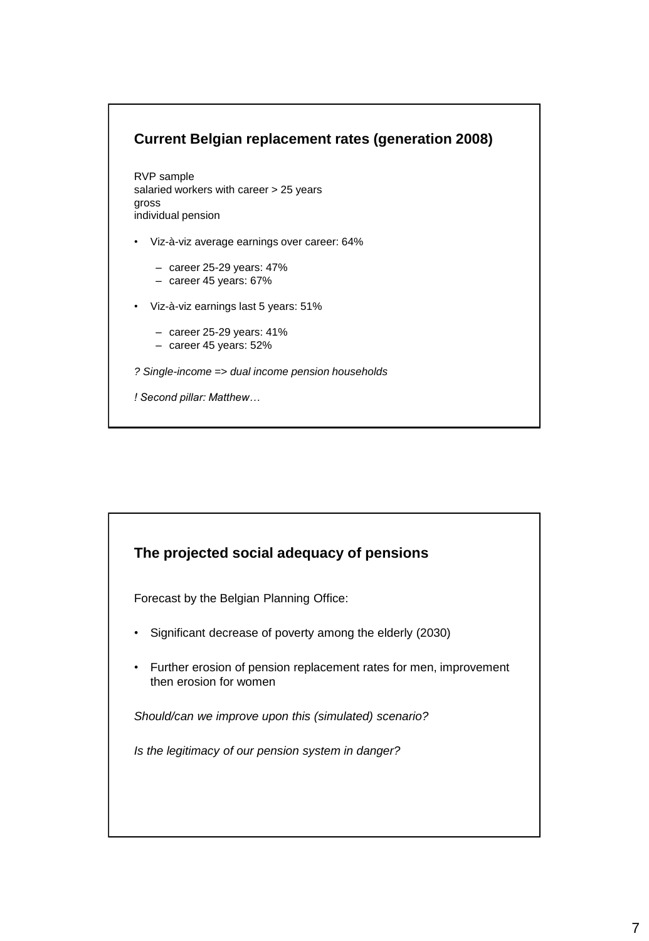## **Current Belgian replacement rates (generation 2008)**

RVP sample salaried workers with career > 25 years gross individual pension

- Viz-à-viz average earnings over career: 64%
	- career 25-29 years: 47%
	- career 45 years: 67%
- Viz-à-viz earnings last 5 years: 51%
	- $-$  career 25-29 years: 41%
	- career 45 years: 52%
- *? Single-income => dual income pension households*
- *! Second pillar: Matthew…*

#### **The projected social adequacy of pensions**

Forecast by the Belgian Planning Office:

- Significant decrease of poverty among the elderly (2030)
- Further erosion of pension replacement rates for men, improvement then erosion for women

*Should/can we improve upon this (simulated) scenario?*

*Is the legitimacy of our pension system in danger?*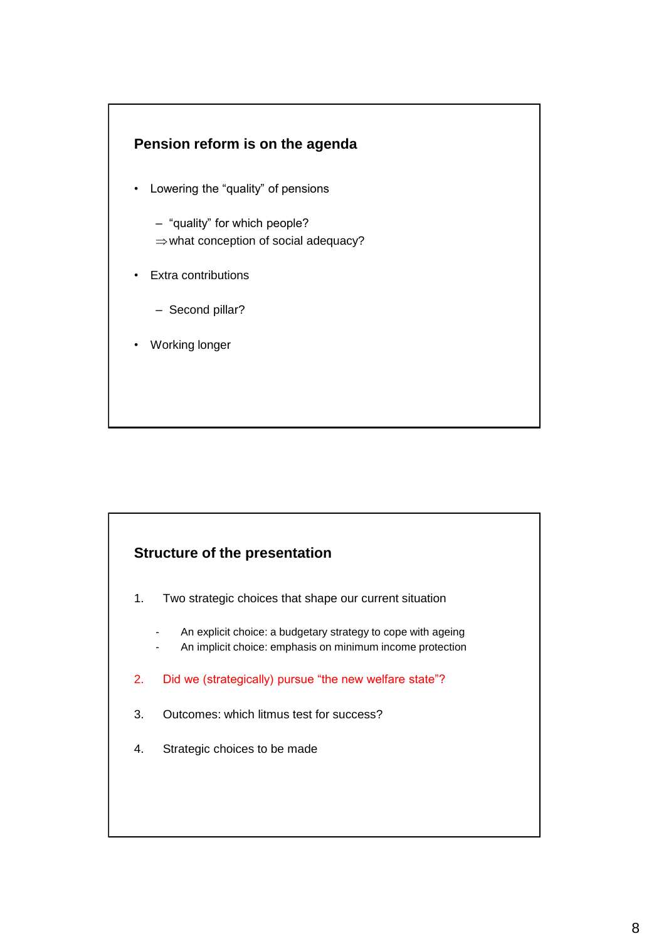



- 1. Two strategic choices that shape our current situation
	- An explicit choice: a budgetary strategy to cope with ageing
	- An implicit choice: emphasis on minimum income protection
- 2. Did we (strategically) pursue "the new welfare state"?
- 3. Outcomes: which litmus test for success?
- 4. Strategic choices to be made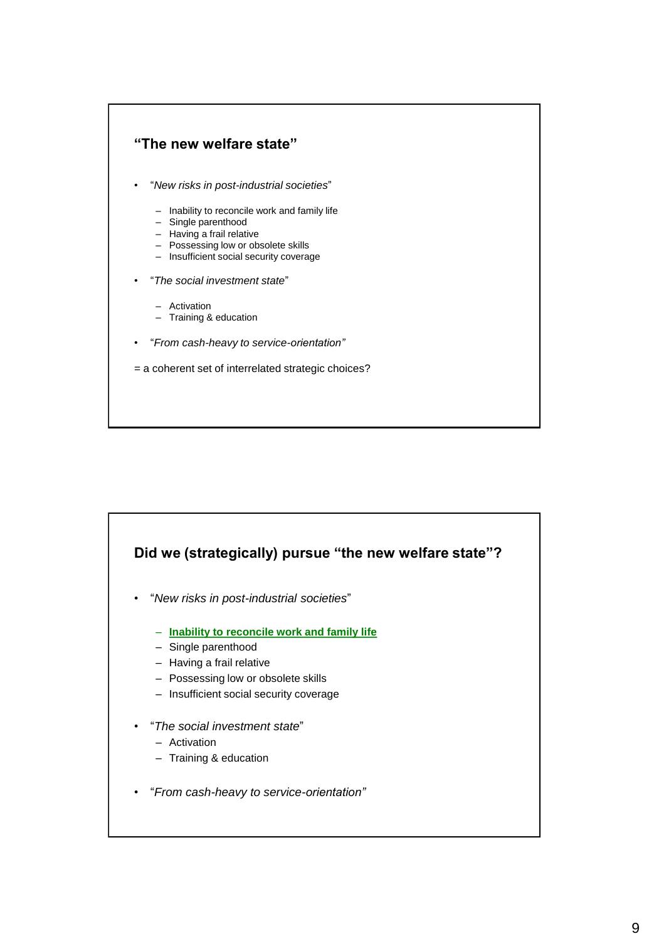

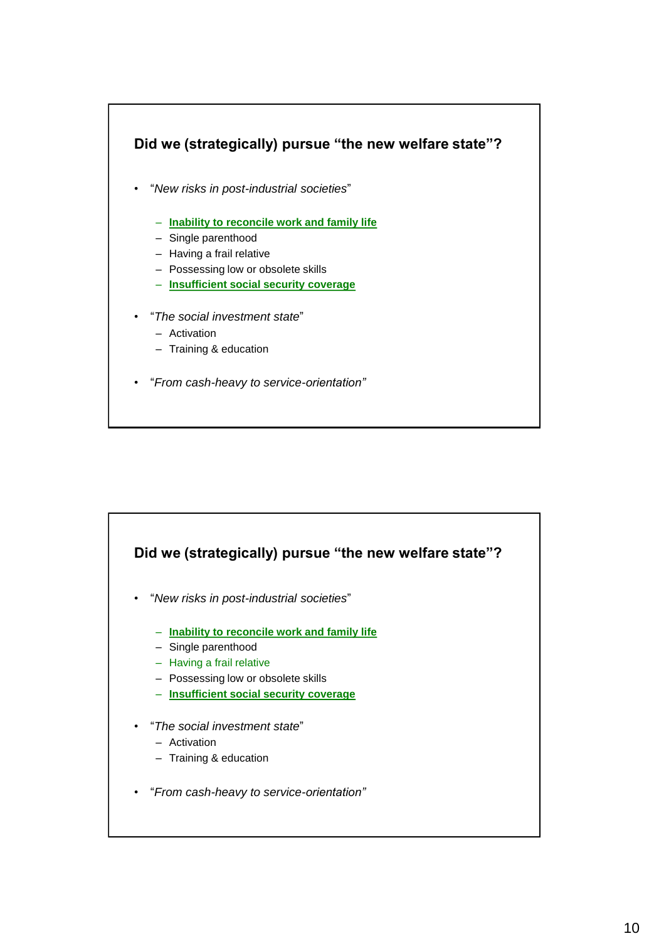

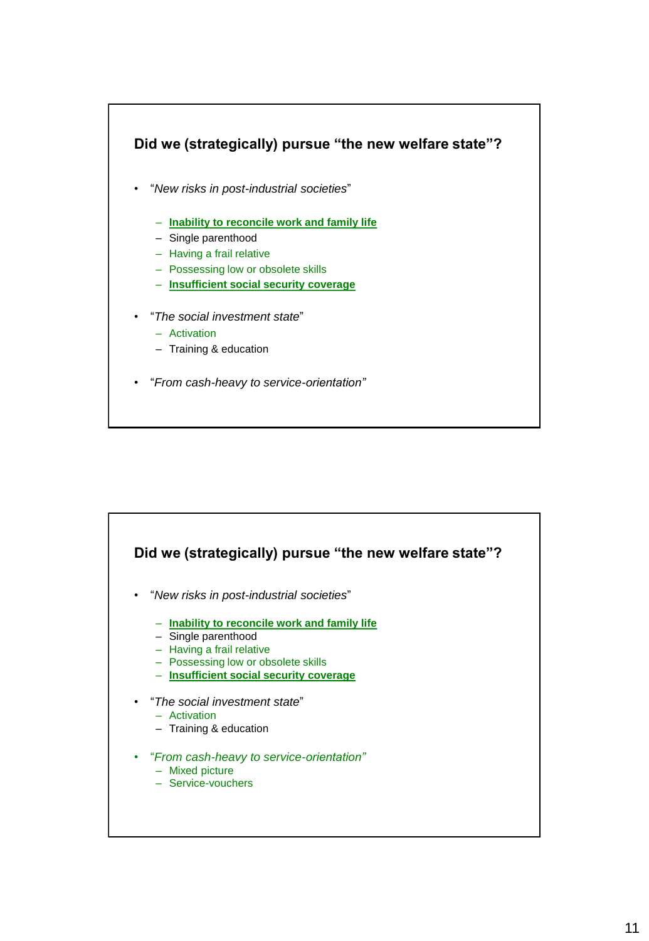

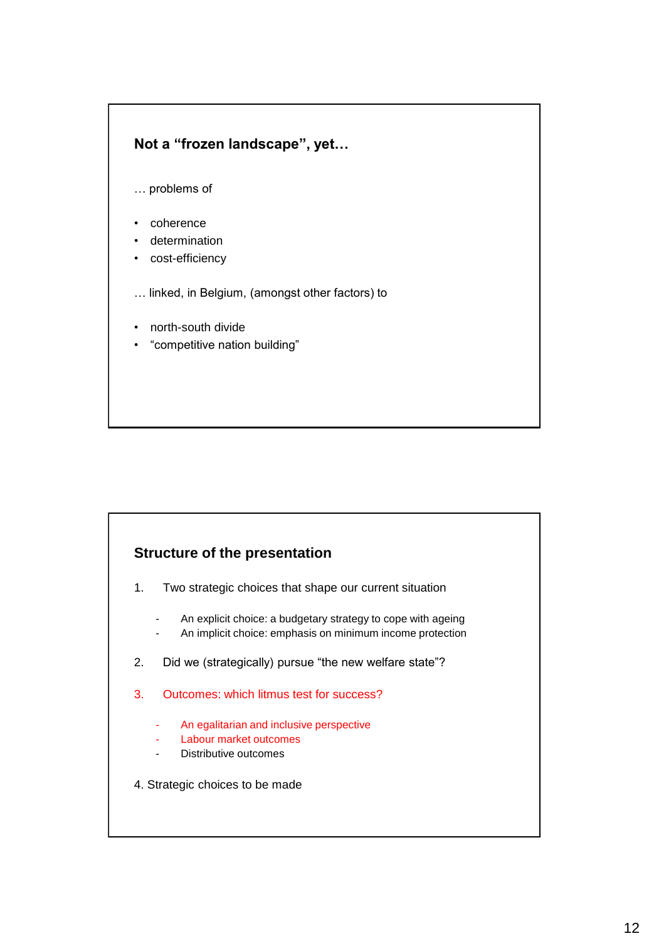## **Not a "frozen landscape", yet…**

- … problems of
- coherence
- determination
- cost-efficiency
- … linked, in Belgium, (amongst other factors) to
- north-south divide
- "competitive nation building"

#### **Structure of the presentation**

- 1. Two strategic choices that shape our current situation
	- An explicit choice: a budgetary strategy to cope with ageing
	- An implicit choice: emphasis on minimum income protection
- 2. Did we (strategically) pursue "the new welfare state"?
- 3. Outcomes: which litmus test for success?
	- An egalitarian and inclusive perspective
	- Labour market outcomes
	- Distributive outcomes
- 4. Strategic choices to be made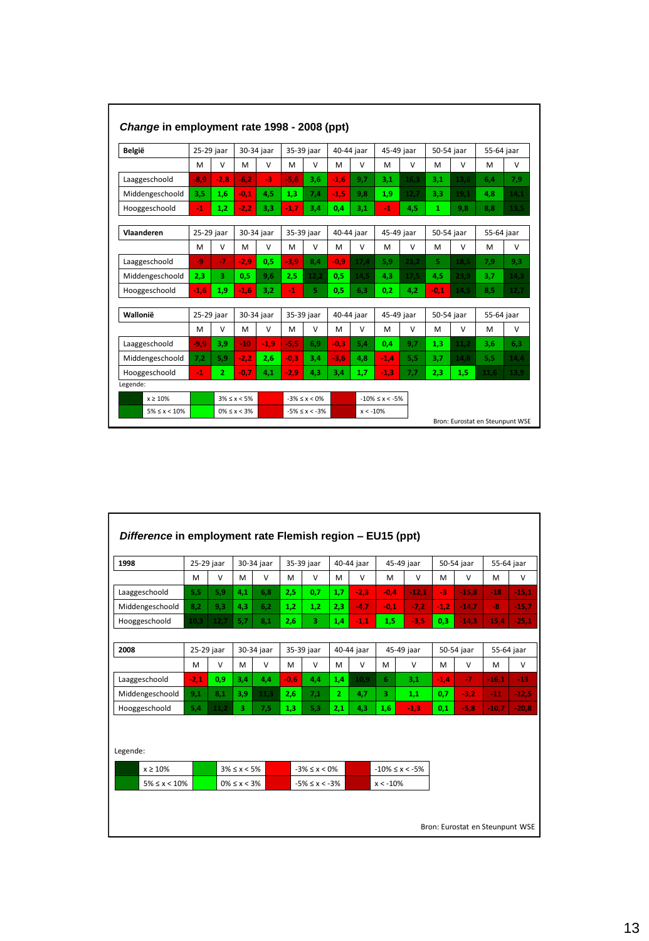| België             | 25-29 jaar |                | 30-34 jaar        |            | 35-39 jaar |                   | 40-44 jaar |                  | 45-49 jaar         |        | 50-54 jaar |        | 55-64 jaar |        |
|--------------------|------------|----------------|-------------------|------------|------------|-------------------|------------|------------------|--------------------|--------|------------|--------|------------|--------|
|                    | M          | $\vee$         | M                 | V          | M          | $\vee$            | M          | $\vee$           | м                  | v      | M          | v      | м          | $\vee$ |
| Laaggeschoold      | $-8.9$     | $-2.8$         | $-6.2$            | $-3$       | $-5.6$     | 3,6               | $-1.6$     | 9,7              | 3,1                | 16,3   | 3,1        | 13.6   | 6,4        | 7,9    |
| Middengeschoold    | 3.5        | 1.6            | $-0.1$            | 4.5        | 1.3        | 7.4               | $-1.5$     | 9.8              | 1.9                | 12.7   | 3.3        | 19.1   | 4.8        | 14.1   |
| Hooggeschoold      | $-1$       | 1.2            | $-2.2$            | 3,3        | $-1.7$     | 3,4               | 0.4        | 3.1              | $-1$               | 4,5    | 1          | 9.8    | 8.8        | 13.5   |
| Vlaanderen         | 25-29 jaar |                | 30-34 jaar        |            | 35-39 jaar |                   |            | 40-44 jaar       | 45-49 jaar         |        | 50-54 jaar |        | 55-64 jaar |        |
|                    | M          | $\vee$         | M                 | $\vee$     | M          | $\vee$            | M          | $\vee$           | м                  | $\vee$ | м          | $\vee$ | м          | $\vee$ |
| Laaggeschoold      | -9         | $-7$           | $-2.9$            | 0.5        | $-3.9$     | 8.4               | $-0.9$     | 17.4             | 5.9                | 23.2   | 5.         | 18.5   | 7.9        | 9.3    |
| Middengeschoold    | 2,3        | 3.             | 0.5               | 9.6        | 2,5        | 12,2              | 0,5        | 14,5             | 4,3                | 17,5   | 4,5        | 23,9   | 3,7        | 14,3   |
| Hooggeschoold      | $-1.6$     | 1.9            | $-1.6$            | 3,2        | $-1$       | 5                 | 0.5        | 6,3              | 0.2 <sub>2</sub>   | 4.2    | $-0.1$     | 14.5   | 8,5        | 12,7   |
| Wallonië           | 25-29 jaar |                |                   | 30-34 jaar |            | 35-39 jaar        |            | 40-44 jaar       | 45-49 jaar         |        | 50-54 jaar |        | 55-64 jaar |        |
|                    | M          | $\vee$         | M                 | $\vee$     | M          | V                 | M          | V                | м                  | $\vee$ | M          | v      | M          | $\vee$ |
| Laaggeschoold      | $-9.9$     | 3.9            | $-10$             | $-1.9$     | $-5.5$     | 6.9               | $-0.3$     | 5.4              | 0,4                | 9,7    | 1,3        | 11.2   | 3,6        | 6.3    |
| Middengeschoold    | 7,2        | 5,9            | $-2.2$            | 2,6        | $-0.3$     | 3.4               | $-3.6$     | 4.8              | $-1.4$             | 5,5    | 3.7        | 14.8   | 5,5        | 14,4   |
| Hooggeschoold      | $-1$       | $\overline{2}$ | $-0.7$            | 4.1        | $-2.9$     | 4.3               | 3.4        | 1.7 <sub>z</sub> | $-1.3$             | 7,7    | 2.3        | 1.5    | 11.6       | 13.9   |
| Legende:           |            |                |                   |            |            |                   |            |                  |                    |        |            |        |            |        |
| x > 10%            |            |                | $3\% < x < 5\%$   |            |            | $-3\% < x < 0\%$  |            |                  | $-10\% < x < -5\%$ |        |            |        |            |        |
| $5\% \le x < 10\%$ |            |                | $0\% \le x < 3\%$ |            |            | $-5\% < x < -3\%$ |            | $x < -10\%$      |                    |        |            |        |            |        |

| 1998               | 25-29 jaar |        | 30-34 jaar        |        | 35-39 jaar          |                    | 40-44 jaar   |            | 45-49 jaar            |            | 50-54 jaar |            | 55-64 jaar |            |
|--------------------|------------|--------|-------------------|--------|---------------------|--------------------|--------------|------------|-----------------------|------------|------------|------------|------------|------------|
|                    | м          | $\vee$ | M                 | V      | м                   | $\vee$             | M            | $\vee$     | M                     | v          | M          | v          | M          | $\vee$     |
| Laaggeschoold      | 5,5        | 5,9    | 4,1               | 6,8    | 2,5                 | 0,7                | 1,7          | $-2,3$     | $-0.4$                | $-12,1$    | $-3$       | $-15,8$    | $-18$      | $-15,1$    |
| Middengeschoold    | 8,2        | 9,3    | 4,3               | 6,2    | 1,2                 | 1,2                | 2,3          | $-4,7$     | $-0,1$                | $-7,2$     | $-1,2$     | $-14,7$    | $-8$       | $-15,7$    |
| Hooggeschoold      | 10.3       | 12.7   | 5,7               | 8,1    | 2,6                 | з.                 | 1,4          | $-1,1$     | 1,5                   | $-3,5$     | 0,3        | $-14,3$    | $-15,4$    | $-25,1$    |
|                    |            |        |                   |        |                     |                    |              |            |                       |            |            |            |            |            |
| 2008               | 25-29 jaar |        | 30-34 jaar        |        |                     | 35-39 jaar         |              | 40-44 jaar |                       | 45-49 jaar |            | 50-54 jaar |            | 55-64 jaar |
|                    | м          | $\vee$ | M                 | $\vee$ | M                   | $\vee$             | M            | $\vee$     | M                     | $\vee$     | M          | $\vee$     | M          | $\vee$     |
| Laaggeschoold      | $-2,1$     | 0,9    | 3,4               | 4,4    | $-0.6$              | 4,4                | 1,4          | 10.9       | 6                     | 3,1        | $-1.4$     | $-7$       | $-16,1$    | $-13$      |
| Middengeschoold    | 9.1        | 8.1    | 3.9               | 11.3   | 2.6                 | 7.1                | $\mathbf{2}$ | 4,7        | 3.                    | 1,1        | 0.7        | $-3,2$     | $-11$      | $-12,5$    |
| Hooggeschoold      | 5,4        | 11,2   | 3                 | 7,5    | 1,3                 | 5,3                | 2,1          | 4,3        | 1,6                   | $-1,3$     | 0,1        | $-5,8$     | $-10,7$    | $-20,8$    |
| Legende:           |            |        |                   |        |                     |                    |              |            |                       |            |            |            |            |            |
| $x \geq 10\%$      |            |        | $3\% \le x < 5\%$ |        |                     | $-3\% \le x < 0\%$ |              |            | $-10\% \leq x < -5\%$ |            |            |            |            |            |
| $5\% \le x < 10\%$ |            |        | $0\% \le x < 3\%$ |        | $-5\% \le x < -3\%$ |                    |              |            | $x < -10\%$           |            |            |            |            |            |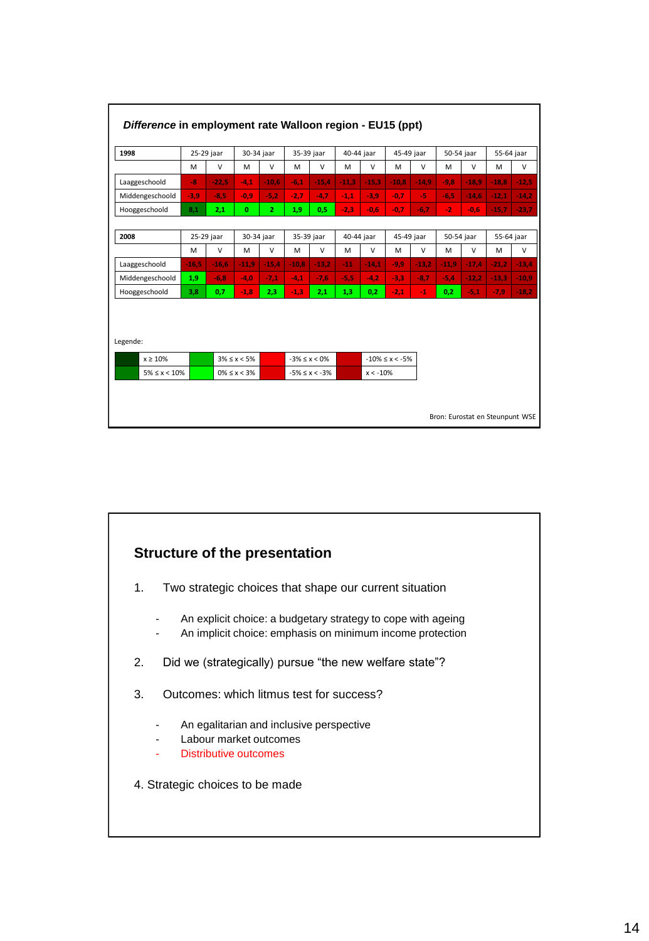| 1998               | 25-29 jaar |         | 30-34 jaar        |                | 35-39 jaar |                     | 40-44 jaar |             | 45-49 jaar           |         | 50-54 jaar |         | 55-64 jaar |         |
|--------------------|------------|---------|-------------------|----------------|------------|---------------------|------------|-------------|----------------------|---------|------------|---------|------------|---------|
|                    | M          | $\vee$  | M                 | $\vee$         | M          | V                   | M          | V           | M                    | V       | M          | V       | M          | V       |
| Laaggeschoold      | $-8$       | $-22.5$ | $-4,1$            | $-10.6$        | $-6.1$     | $-15,4$             | $-11,3$    | $-15,3$     | $-10,8$              | $-14,9$ | $-9.8$     | $-18.9$ | $-18.8$    | $-12,5$ |
| Middengeschoold    | $-3,9$     | $-8,5$  | $-0,9$            | $-5,2$         | $-2,7$     | $-4,7$              | $-1,1$     | $-3,9$      | $-0.7$               | -51     | $-6,5$     | $-14,6$ | $-12,1$    | $-14,2$ |
| Hooggeschoold      | 8,1        | 2,1     | $\mathbf{0}$      | $\overline{2}$ | 1,9        | 0,5                 | $-2,3$     | $-0,6$      | $-0.7$               | $-6,7$  | $-2$       | $-0,6$  | $-15,7$    | $-23,7$ |
|                    |            |         |                   |                |            |                     |            |             |                      |         |            |         |            |         |
| 2008               | 25-29 jaar |         | 30-34 jaar        |                | 35-39 jaar |                     | 40-44 jaar |             | 45-49 jaar           |         | 50-54 jaar |         | 55-64 jaar |         |
|                    | M          | $\vee$  | M                 | V              | M          | V                   | M          | V           | M                    | V       | M          | V       | M          | v       |
| Laaggeschoold      | $-16.5$    | $-16.6$ | $-11.9$           | $-15.4$        | $-10.8$    | $-13,2$             | $-11$      | $-14.1$     | $-9.9$               | $-13,2$ | $-11,9$    | $-17,4$ | $-21.2$    | $-13.4$ |
| Middengeschoold    | 1,9        | $-6,8$  | $-4.0$            | $-7,1$         | $-4,1$     | $-7,6$              | $-5,5$     | $-4.2$      | $-3,3$               | $-8,7$  | $-5.4$     | $-12,2$ | $-13,3$    | $-10,9$ |
| Hooggeschoold      | 3,8        | 0,7     | $-1,8$            | 2,3            | $-1,3$     | 2,1                 | 1,3        | 0,2         | $-2,1$               | $-1$    | 0,2        | $-5,1$  | $-7,9$     | $-18,2$ |
| Legende:           |            |         |                   |                |            |                     |            |             |                      |         |            |         |            |         |
| $x \geq 10\%$      |            |         | $3\% \le x < 5\%$ |                |            | $-3\% \le x < 0\%$  |            |             | $-10\% \le x < -5\%$ |         |            |         |            |         |
| $5\% \le x < 10\%$ |            |         | $0\% \le x < 3\%$ |                |            | $-5\% \le x < -3\%$ |            | $x < -10\%$ |                      |         |            |         |            |         |

# **Structure of the presentation**

- 1. Two strategic choices that shape our current situation
	- An explicit choice: a budgetary strategy to cope with ageing
	- An implicit choice: emphasis on minimum income protection
- 2. Did we (strategically) pursue "the new welfare state"?
- 3. Outcomes: which litmus test for success?
	- An egalitarian and inclusive perspective
	- Labour market outcomes
	- Distributive outcomes
- 4. Strategic choices to be made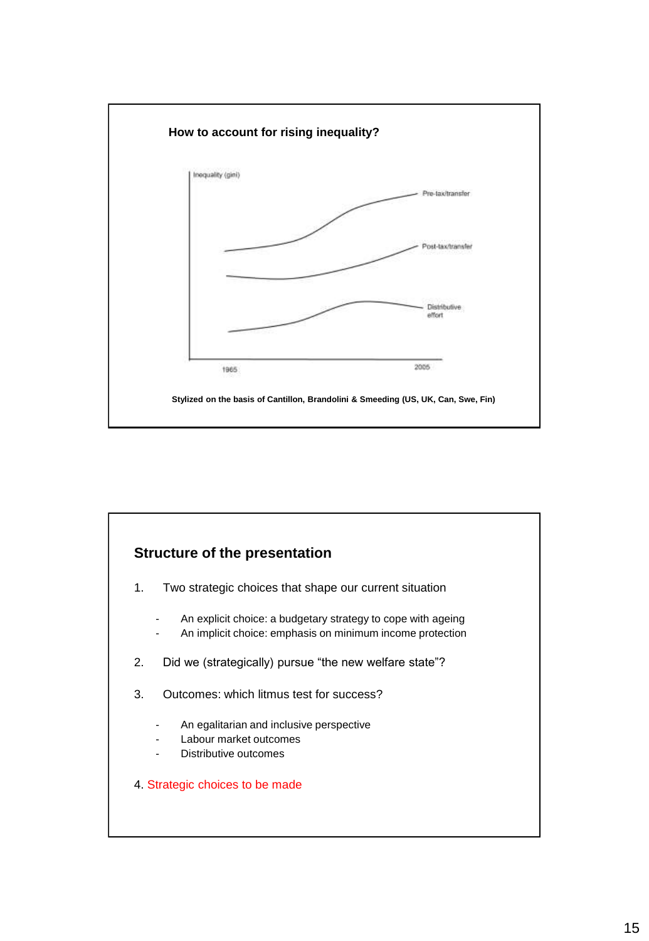